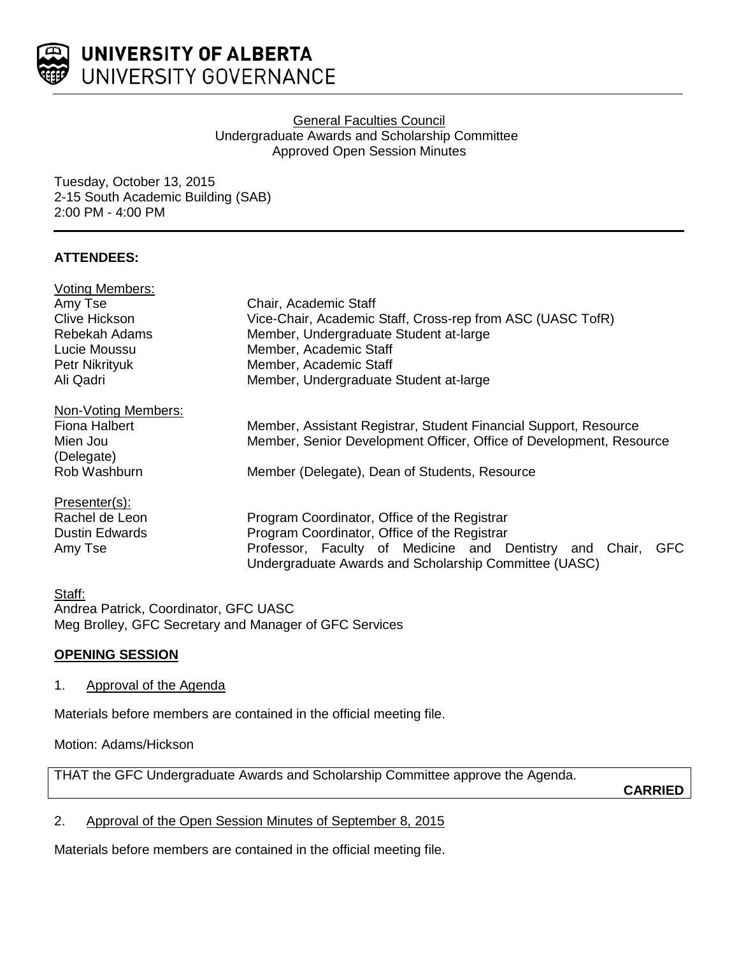

## General Faculties Council Undergraduate Awards and Scholarship Committee Approved Open Session Minutes

Tuesday, October 13, 2015 2-15 South Academic Building (SAB) 2:00 PM - 4:00 PM

# **ATTENDEES:**

| <b>Voting Members:</b> |                                                                                                                            |
|------------------------|----------------------------------------------------------------------------------------------------------------------------|
| Amy Tse                | Chair, Academic Staff                                                                                                      |
| Clive Hickson          | Vice-Chair, Academic Staff, Cross-rep from ASC (UASC TofR)                                                                 |
| Rebekah Adams          | Member, Undergraduate Student at-large                                                                                     |
| Lucie Moussu           | Member, Academic Staff                                                                                                     |
| Petr Nikrityuk         | Member, Academic Staff                                                                                                     |
| Ali Qadri              | Member, Undergraduate Student at-large                                                                                     |
| Non-Voting Members:    |                                                                                                                            |
| Fiona Halbert          | Member, Assistant Registrar, Student Financial Support, Resource                                                           |
| Mien Jou               | Member, Senior Development Officer, Office of Development, Resource                                                        |
| (Delegate)             |                                                                                                                            |
| Rob Washburn           | Member (Delegate), Dean of Students, Resource                                                                              |
| Presenter(s):          |                                                                                                                            |
| Rachel de Leon         | Program Coordinator, Office of the Registrar                                                                               |
| <b>Dustin Edwards</b>  | Program Coordinator, Office of the Registrar                                                                               |
| Amy Tse                | Professor, Faculty of Medicine and Dentistry and<br>GFC<br>Chair.<br>Undergraduate Awards and Scholarship Committee (UASC) |
|                        |                                                                                                                            |

Staff: Andrea Patrick, Coordinator, GFC UASC Meg Brolley, GFC Secretary and Manager of GFC Services

# **OPENING SESSION**

1. Approval of the Agenda

Materials before members are contained in the official meeting file.

Motion: Adams/Hickson

THAT the GFC Undergraduate Awards and Scholarship Committee approve the Agenda.

**CARRIED**

2. Approval of the Open Session Minutes of September 8, 2015

Materials before members are contained in the official meeting file.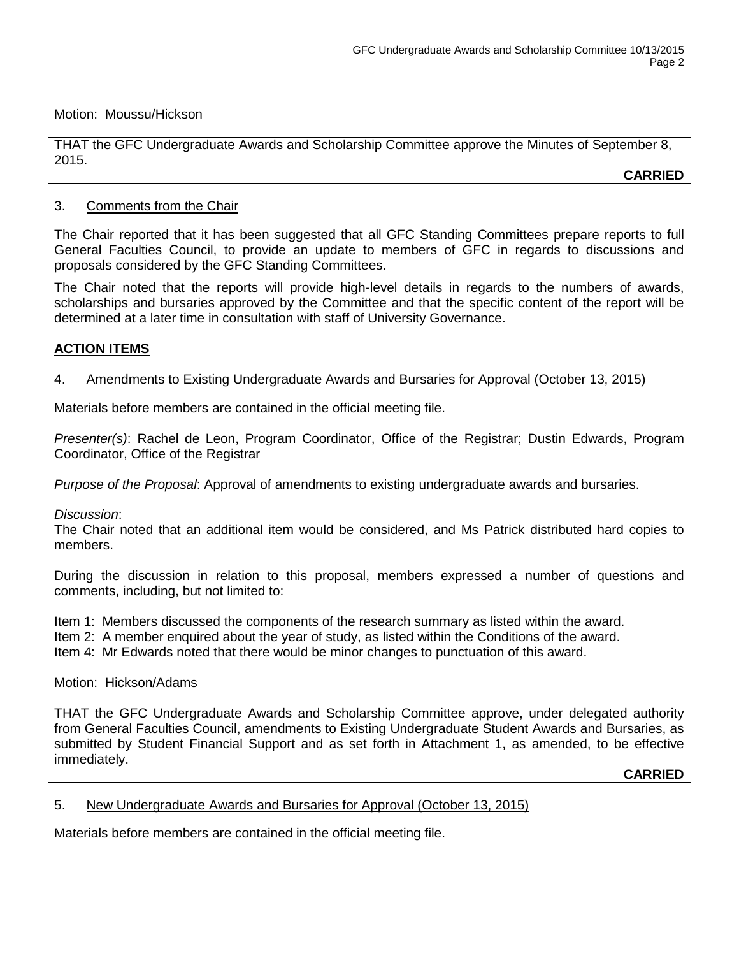#### Motion: Moussu/Hickson

THAT the GFC Undergraduate Awards and Scholarship Committee approve the Minutes of September 8, 2015.

**CARRIED**

## 3. Comments from the Chair

The Chair reported that it has been suggested that all GFC Standing Committees prepare reports to full General Faculties Council, to provide an update to members of GFC in regards to discussions and proposals considered by the GFC Standing Committees.

The Chair noted that the reports will provide high-level details in regards to the numbers of awards, scholarships and bursaries approved by the Committee and that the specific content of the report will be determined at a later time in consultation with staff of University Governance.

# **ACTION ITEMS**

## 4. Amendments to Existing Undergraduate Awards and Bursaries for Approval (October 13, 2015)

Materials before members are contained in the official meeting file.

*Presenter(s)*: Rachel de Leon, Program Coordinator, Office of the Registrar; Dustin Edwards, Program Coordinator, Office of the Registrar

*Purpose of the Proposal*: Approval of amendments to existing undergraduate awards and bursaries.

#### *Discussion*:

The Chair noted that an additional item would be considered, and Ms Patrick distributed hard copies to members.

During the discussion in relation to this proposal, members expressed a number of questions and comments, including, but not limited to:

Item 1: Members discussed the components of the research summary as listed within the award.

Item 2: A member enquired about the year of study, as listed within the Conditions of the award.

Item 4: Mr Edwards noted that there would be minor changes to punctuation of this award.

#### Motion: Hickson/Adams

THAT the GFC Undergraduate Awards and Scholarship Committee approve, under delegated authority from General Faculties Council, amendments to Existing Undergraduate Student Awards and Bursaries, as submitted by Student Financial Support and as set forth in Attachment 1, as amended, to be effective immediately.

**CARRIED**

#### 5. New Undergraduate Awards and Bursaries for Approval (October 13, 2015)

Materials before members are contained in the official meeting file.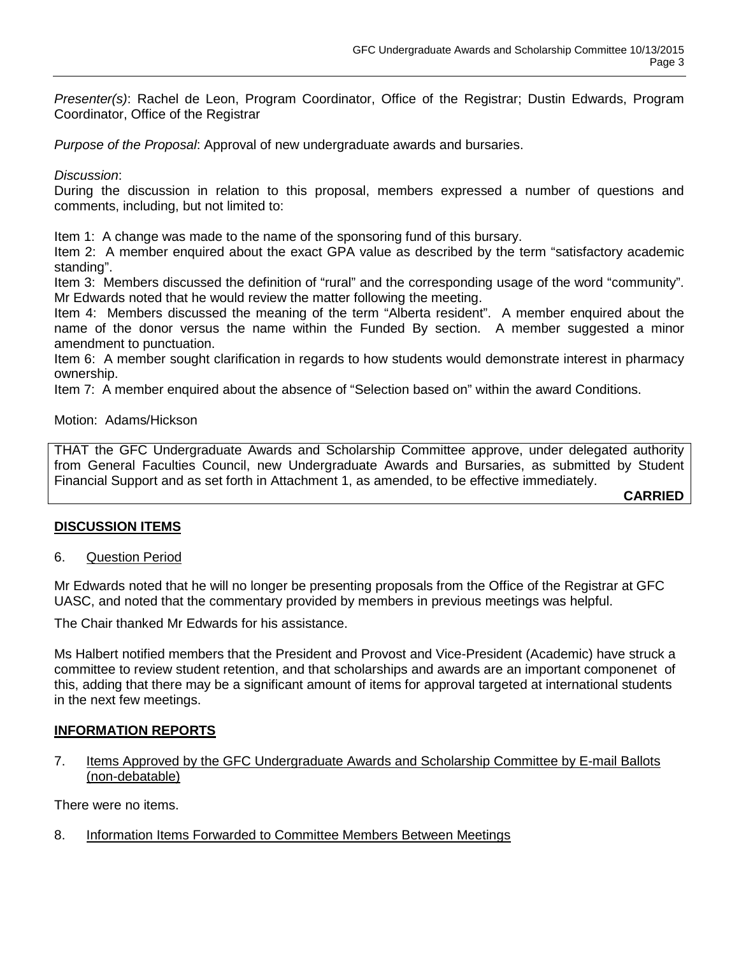*Presenter(s)*: Rachel de Leon, Program Coordinator, Office of the Registrar; Dustin Edwards, Program Coordinator, Office of the Registrar

*Purpose of the Proposal*: Approval of new undergraduate awards and bursaries.

#### *Discussion*:

During the discussion in relation to this proposal, members expressed a number of questions and comments, including, but not limited to:

Item 1: A change was made to the name of the sponsoring fund of this bursary.

Item 2: A member enquired about the exact GPA value as described by the term "satisfactory academic standing".

Item 3: Members discussed the definition of "rural" and the corresponding usage of the word "community". Mr Edwards noted that he would review the matter following the meeting.

Item 4: Members discussed the meaning of the term "Alberta resident". A member enquired about the name of the donor versus the name within the Funded By section. A member suggested a minor amendment to punctuation.

Item 6: A member sought clarification in regards to how students would demonstrate interest in pharmacy ownership.

Item 7: A member enquired about the absence of "Selection based on" within the award Conditions.

## Motion: Adams/Hickson

THAT the GFC Undergraduate Awards and Scholarship Committee approve, under delegated authority from General Faculties Council, new Undergraduate Awards and Bursaries, as submitted by Student Financial Support and as set forth in Attachment 1, as amended, to be effective immediately.

**CARRIED**

#### **DISCUSSION ITEMS**

6. Question Period

Mr Edwards noted that he will no longer be presenting proposals from the Office of the Registrar at GFC UASC, and noted that the commentary provided by members in previous meetings was helpful.

The Chair thanked Mr Edwards for his assistance.

Ms Halbert notified members that the President and Provost and Vice-President (Academic) have struck a committee to review student retention, and that scholarships and awards are an important componenet of this, adding that there may be a significant amount of items for approval targeted at international students in the next few meetings.

#### **INFORMATION REPORTS**

7. Items Approved by the GFC Undergraduate Awards and Scholarship Committee by E-mail Ballots (non-debatable)

There were no items.

8. Information Items Forwarded to Committee Members Between Meetings